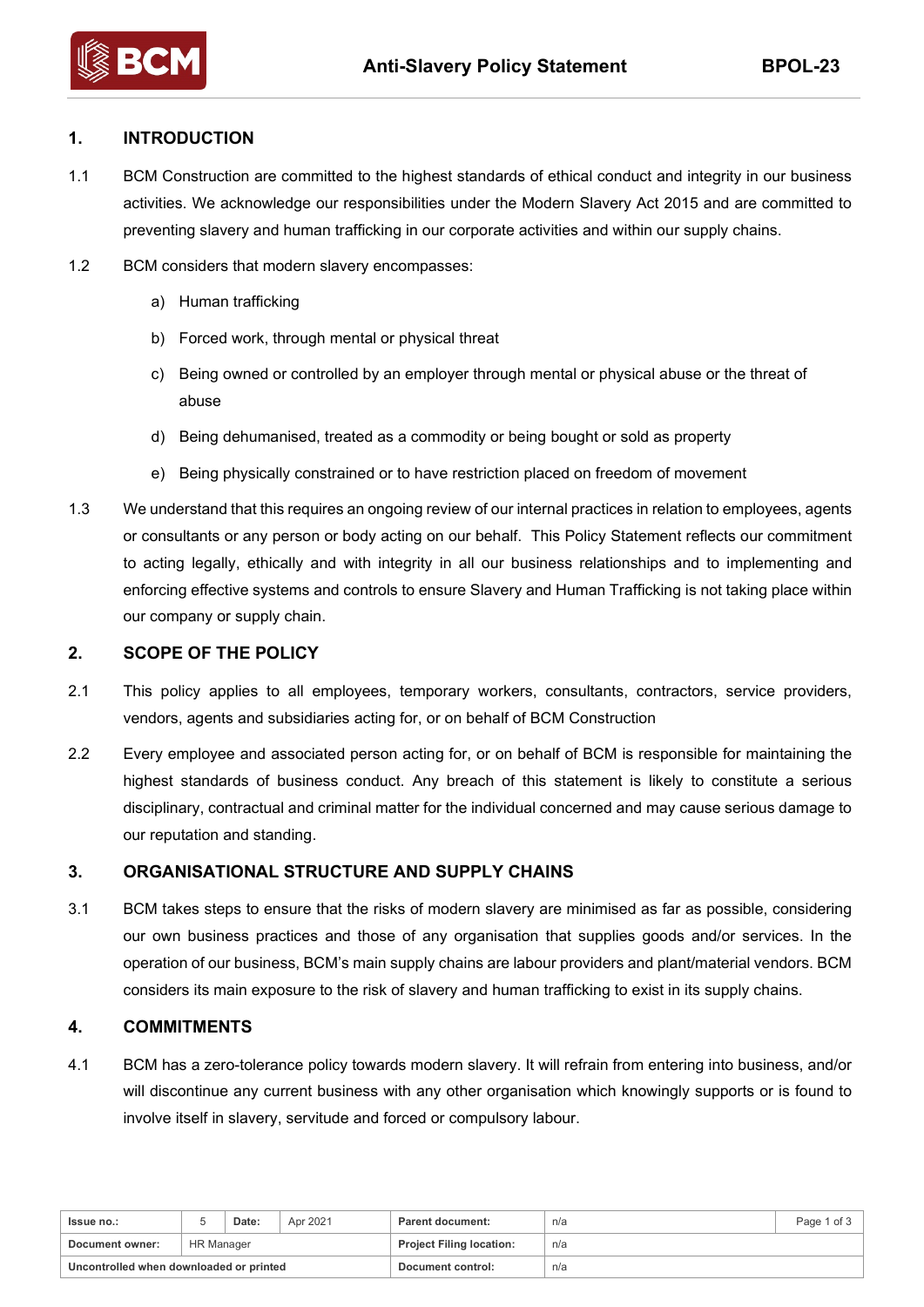

## **1. INTRODUCTION**

1.1 BCM Construction are committed to the highest standards of ethical conduct and integrity in our business activities. We acknowledge our responsibilities under the Modern Slavery Act 2015 and are committed to preventing slavery and human trafficking in our corporate activities and within our supply chains.

- 1.2 BCM considers that modern slavery encompasses:
	- a) Human trafficking
	- b) Forced work, through mental or physical threat
	- c) Being owned or controlled by an employer through mental or physical abuse or the threat of abuse
	- d) Being dehumanised, treated as a commodity or being bought or sold as property
	- e) Being physically constrained or to have restriction placed on freedom of movement
- 1.3 We understand that this requires an ongoing review of our internal practices in relation to employees, agents or consultants or any person or body acting on our behalf. This Policy Statement reflects our commitment to acting legally, ethically and with integrity in all our business relationships and to implementing and enforcing effective systems and controls to ensure Slavery and Human Trafficking is not taking place within our company or supply chain.

### **2. SCOPE OF THE POLICY**

- 2.1 This policy applies to all employees, temporary workers, consultants, contractors, service providers, vendors, agents and subsidiaries acting for, or on behalf of BCM Construction
- 2.2 Every employee and associated person acting for, or on behalf of BCM is responsible for maintaining the highest standards of business conduct. Any breach of this statement is likely to constitute a serious disciplinary, contractual and criminal matter for the individual concerned and may cause serious damage to our reputation and standing.

## **3. ORGANISATIONAL STRUCTURE AND SUPPLY CHAINS**

3.1 BCM takes steps to ensure that the risks of modern slavery are minimised as far as possible, considering our own business practices and those of any organisation that supplies goods and/or services. In the operation of our business, BCM's main supply chains are labour providers and plant/material vendors. BCM considers its main exposure to the risk of slavery and human trafficking to exist in its supply chains.

## **4. COMMITMENTS**

4.1 BCM has a zero-tolerance policy towards modern slavery. It will refrain from entering into business, and/or will discontinue any current business with any other organisation which knowingly supports or is found to involve itself in slavery, servitude and forced or compulsory labour.

| <b>Issue no.:</b>                       |                   | Date: | Apr 2021 | Parent document:                | n/a | Page 1 of 3 |
|-----------------------------------------|-------------------|-------|----------|---------------------------------|-----|-------------|
| Document owner:                         | <b>HR Manager</b> |       |          | <b>Project Filing location:</b> | n/a |             |
| Uncontrolled when downloaded or printed |                   |       |          | Document control:               | n/a |             |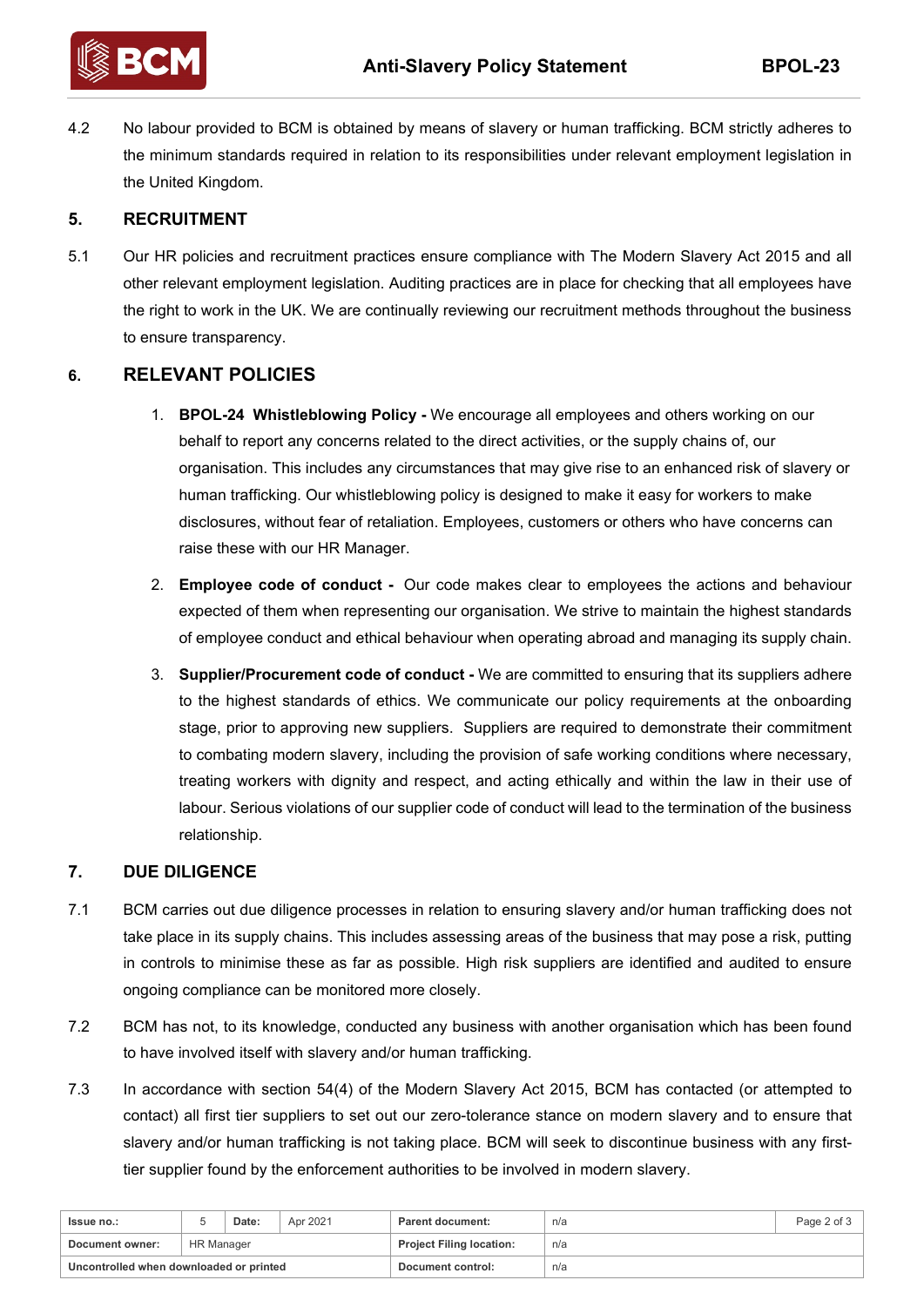

4.2 No labour provided to BCM is obtained by means of slavery or human trafficking. BCM strictly adheres to the minimum standards required in relation to its responsibilities under relevant employment legislation in the United Kingdom.

## **5. RECRUITMENT**

5.1 Our HR policies and recruitment practices ensure compliance with The Modern Slavery Act 2015 and all other relevant employment legislation. Auditing practices are in place for checking that all employees have the right to work in the UK. We are continually reviewing our recruitment methods throughout the business to ensure transparency.

# **6. RELEVANT POLICIES**

- 1. **BPOL-24 Whistleblowing Policy -** We encourage all employees and others working on our behalf to report any concerns related to the direct activities, or the supply chains of, our organisation. This includes any circumstances that may give rise to an enhanced risk of slavery or human trafficking. Our whistleblowing policy is designed to make it easy for workers to make disclosures, without fear of retaliation. Employees, customers or others who have concerns can raise these with our HR Manager.
- 2. **Employee code of conduct -** Our code makes clear to employees the actions and behaviour expected of them when representing our organisation. We strive to maintain the highest standards of employee conduct and ethical behaviour when operating abroad and managing its supply chain.
- 3. **Supplier/Procurement code of conduct -** We are committed to ensuring that its suppliers adhere to the highest standards of ethics. We communicate our policy requirements at the onboarding stage, prior to approving new suppliers. Suppliers are required to demonstrate their commitment to combating modern slavery, including the provision of safe working conditions where necessary, treating workers with dignity and respect, and acting ethically and within the law in their use of labour. Serious violations of our supplier code of conduct will lead to the termination of the business relationship.

## **7. DUE DILIGENCE**

- 7.1 BCM carries out due diligence processes in relation to ensuring slavery and/or human trafficking does not take place in its supply chains. This includes assessing areas of the business that may pose a risk, putting in controls to minimise these as far as possible. High risk suppliers are identified and audited to ensure ongoing compliance can be monitored more closely.
- 7.2 BCM has not, to its knowledge, conducted any business with another organisation which has been found to have involved itself with slavery and/or human trafficking.
- 7.3 In accordance with section 54(4) of the Modern Slavery Act 2015, BCM has contacted (or attempted to contact) all first tier suppliers to set out our zero-tolerance stance on modern slavery and to ensure that slavery and/or human trafficking is not taking place. BCM will seek to discontinue business with any firsttier supplier found by the enforcement authorities to be involved in modern slavery.

| Issue no.:                              |                   | Date: | Apr 2021 | Parent document:                | n/a | Page 2 of 3 |
|-----------------------------------------|-------------------|-------|----------|---------------------------------|-----|-------------|
| Document owner:                         | <b>HR Manager</b> |       |          | <b>Project Filing location:</b> | n/a |             |
| Uncontrolled when downloaded or printed |                   |       |          | Document control:               | n/a |             |